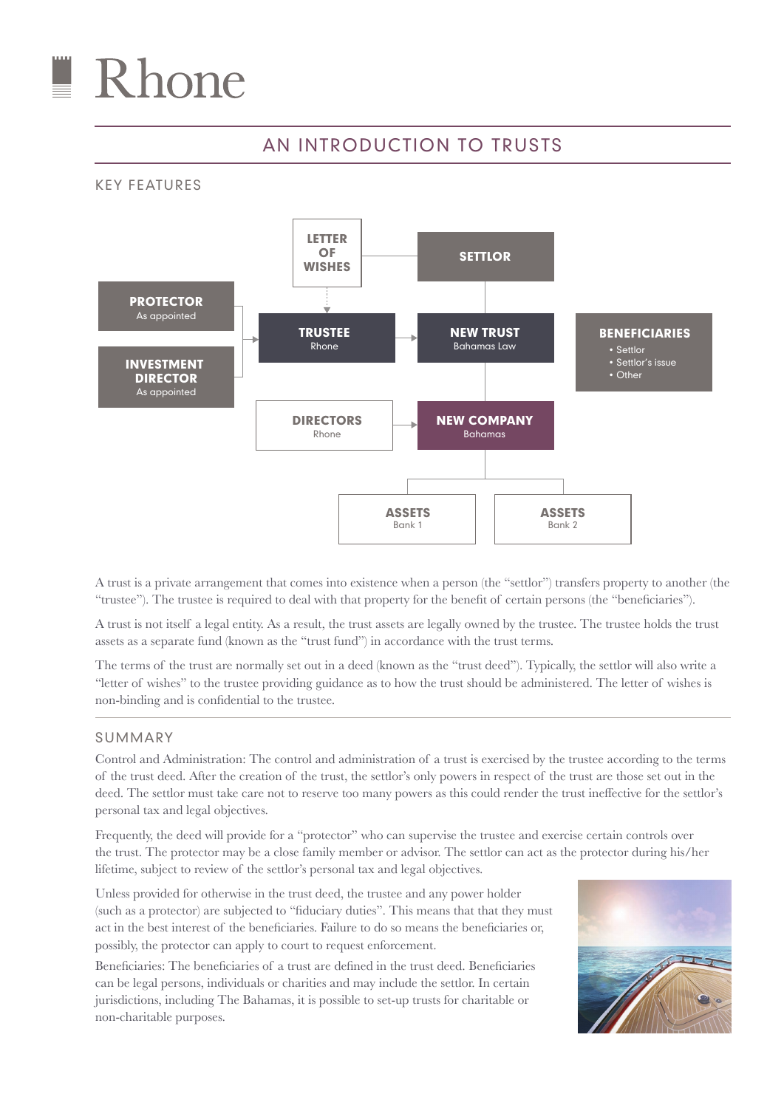

## AN INTRODUCTION TO TRUSTS

KEY FEATURES



A trust is a private arrangement that comes into existence when a person (the "settlor") transfers property to another (the "trustee"). The trustee is required to deal with that property for the benefit of certain persons (the "beneficiaries").

A trust is not itself a legal entity. As a result, the trust assets are legally owned by the trustee. The trustee holds the trust assets as a separate fund (known as the "trust fund") in accordance with the trust terms.

The terms of the trust are normally set out in a deed (known as the "trust deed"). Typically, the settlor will also write a "letter of wishes" to the trustee providing guidance as to how the trust should be administered. The letter of wishes is non-binding and is confidential to the trustee.

## SUMMARY

Control and Administration: The control and administration of a trust is exercised by the trustee according to the terms of the trust deed. After the creation of the trust, the settlor's only powers in respect of the trust are those set out in the deed. The settlor must take care not to reserve too many powers as this could render the trust ineffective for the settlor's personal tax and legal objectives.

Frequently, the deed will provide for a "protector" who can supervise the trustee and exercise certain controls over the trust. The protector may be a close family member or advisor. The settlor can act as the protector during his/her lifetime, subject to review of the settlor's personal tax and legal objectives.

Unless provided for otherwise in the trust deed, the trustee and any power holder (such as a protector) are subjected to "fiduciary duties". This means that that they must act in the best interest of the beneficiaries. Failure to do so means the beneficiaries or, possibly, the protector can apply to court to request enforcement.

Beneficiaries: The beneficiaries of a trust are defined in the trust deed. Beneficiaries can be legal persons, individuals or charities and may include the settlor. In certain jurisdictions, including The Bahamas, it is possible to set-up trusts for charitable or non-charitable purposes.